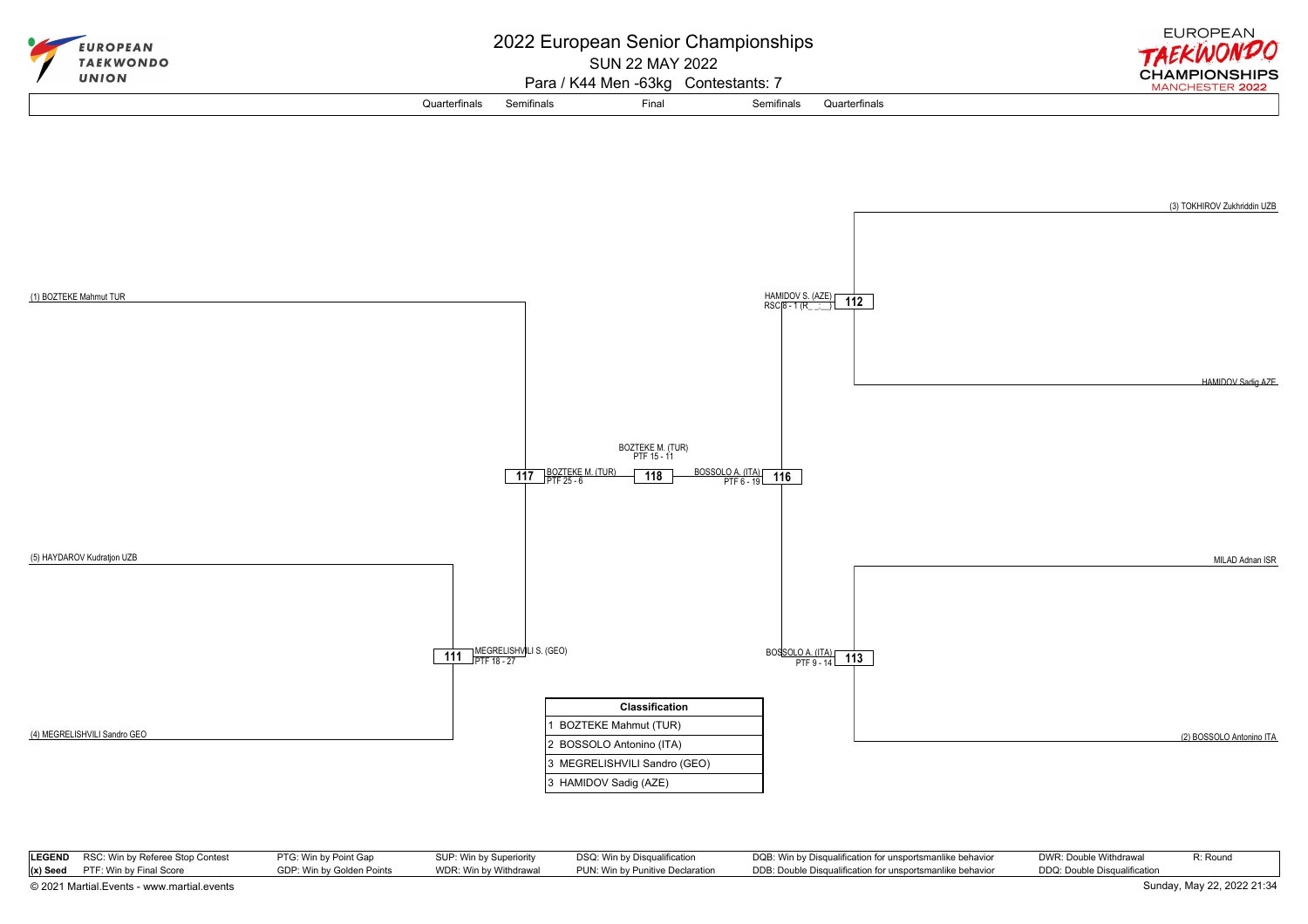

| (4) MEGRELISHVILI Sandro GEO |  |  |
|------------------------------|--|--|
|                              |  |  |

| <b>LEGEND</b> RSC: Win by Referee Stop Contest | PTG: Win by Point Gap     | SUP: Win by Superiority | DSQ: Win by Disqualification     | DQB: Win by Disqualification for unsportsmanlike behavior | DWR: Double Withdrawal       | R: Round |
|------------------------------------------------|---------------------------|-------------------------|----------------------------------|-----------------------------------------------------------|------------------------------|----------|
| (x) Seed PTF: Win by Final Score               | GDP: Win by Golden Points | WDR: Win by Withdrawal  | PUN: Win by Punitive Declaration | DDB: Double Disqualification for unsportsmanlike behavior | DDQ: Double Disqualification |          |

2 BOSSOLO Antonino (ITA) 3 MEGRELISHVILI Sandro (GEO) 3 HAMIDOV Sadig (AZE)

[© 2021 Martial.Events - www.martial.events](https://www.martial.events) Sunday, May 22, 2022 21:34

(2) BOSSOLO Antonino ITA